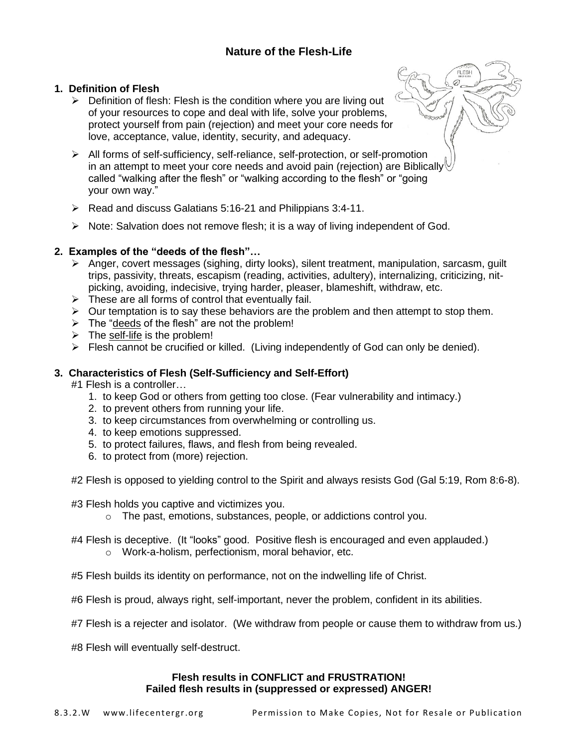# **Nature of the Flesh-Life**

## **1. Definition of Flesh**

- $\triangleright$  Definition of flesh: Flesh is the condition where you are living out of your resources to cope and deal with life, solve your problems, protect yourself from pain (rejection) and meet your core needs for love, acceptance, value, identity, security, and adequacy.
- ➢ All forms of self-sufficiency, self-reliance, self-protection, or self-promotion in an attempt to meet your core needs and avoid pain (rejection) are Biblically called "walking after the flesh" or "walking according to the flesh" or "going your own way."
- ➢ Read and discuss Galatians 5:16-21 and Philippians 3:4-11.
- $\triangleright$  Note: Salvation does not remove flesh; it is a way of living independent of God.

## **2. Examples of the "deeds of the flesh"…**

- ➢ Anger, covert messages (sighing, dirty looks), silent treatment, manipulation, sarcasm, guilt trips, passivity, threats, escapism (reading, activities, adultery), internalizing, criticizing, nitpicking, avoiding, indecisive, trying harder, pleaser, blameshift, withdraw, etc.
- $\triangleright$  These are all forms of control that eventually fail.
- ➢ Our temptation is to say these behaviors are the problem and then attempt to stop them.
- ➢ The "deeds of the flesh" are not the problem!
- $\triangleright$  The self-life is the problem!
- ➢ Flesh cannot be crucified or killed. (Living independently of God can only be denied).

## **3. Characteristics of Flesh (Self-Sufficiency and Self-Effort)**

#1 Flesh is a controller…

- 1. to keep God or others from getting too close. (Fear vulnerability and intimacy.)
- 2. to prevent others from running your life.
- 3. to keep circumstances from overwhelming or controlling us.
- 4. to keep emotions suppressed.
- 5. to protect failures, flaws, and flesh from being revealed.
- 6. to protect from (more) rejection.
- #2 Flesh is opposed to yielding control to the Spirit and always resists God (Gal 5:19, Rom 8:6-8).

## #3 Flesh holds you captive and victimizes you.

- o The past, emotions, substances, people, or addictions control you.
- #4 Flesh is deceptive. (It "looks" good. Positive flesh is encouraged and even applauded.)
	- o Work-a-holism, perfectionism, moral behavior, etc.

#5 Flesh builds its identity on performance, not on the indwelling life of Christ.

#6 Flesh is proud, always right, self-important, never the problem, confident in its abilities.

#7 Flesh is a rejecter and isolator. (We withdraw from people or cause them to withdraw from us.)

#8 Flesh will eventually self-destruct.

## **Flesh results in CONFLICT and FRUSTRATION! Failed flesh results in (suppressed or expressed) ANGER!**